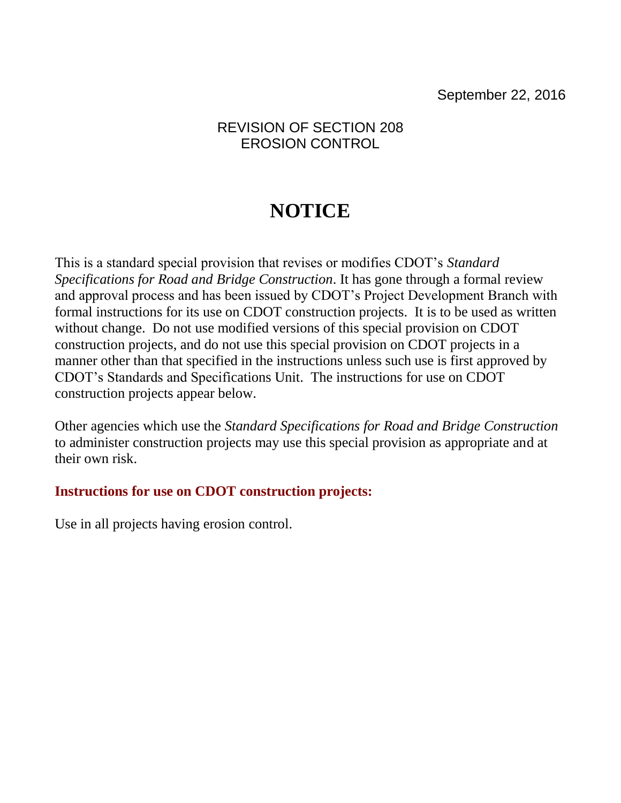# **NOTICE**

This is a standard special provision that revises or modifies CDOT's *Standard Specifications for Road and Bridge Construction*. It has gone through a formal review and approval process and has been issued by CDOT's Project Development Branch with formal instructions for its use on CDOT construction projects. It is to be used as written without change. Do not use modified versions of this special provision on CDOT construction projects, and do not use this special provision on CDOT projects in a manner other than that specified in the instructions unless such use is first approved by CDOT's Standards and Specifications Unit. The instructions for use on CDOT construction projects appear below.

Other agencies which use the *Standard Specifications for Road and Bridge Construction* to administer construction projects may use this special provision as appropriate and at their own risk.

# **Instructions for use on CDOT construction projects:**

Use in all projects having erosion control.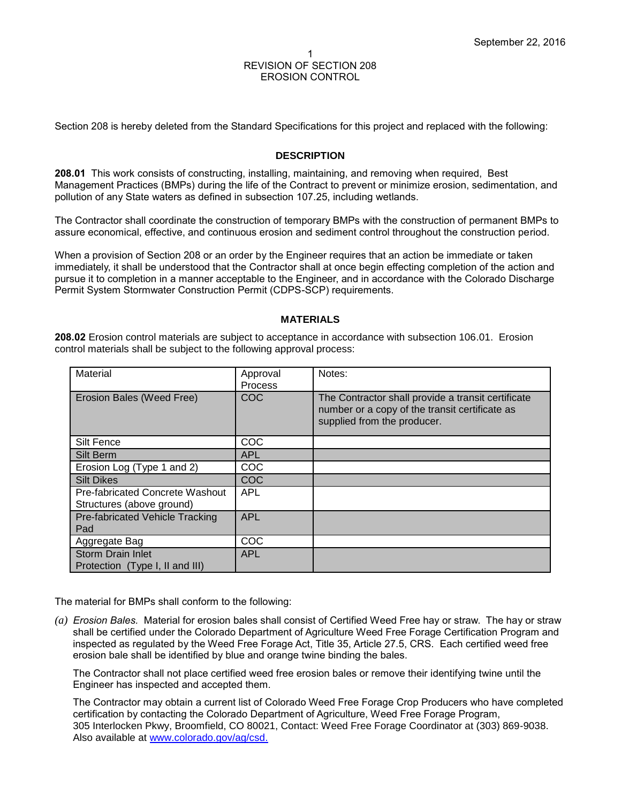Section 208 is hereby deleted from the Standard Specifications for this project and replaced with the following:

### **DESCRIPTION**

**208.01** This work consists of constructing, installing, maintaining, and removing when required, Best Management Practices (BMPs) during the life of the Contract to prevent or minimize erosion, sedimentation, and pollution of any State waters as defined in subsection 107.25, including wetlands.

The Contractor shall coordinate the construction of temporary BMPs with the construction of permanent BMPs to assure economical, effective, and continuous erosion and sediment control throughout the construction period.

When a provision of Section 208 or an order by the Engineer requires that an action be immediate or taken immediately, it shall be understood that the Contractor shall at once begin effecting completion of the action and pursue it to completion in a manner acceptable to the Engineer, and in accordance with the Colorado Discharge Permit System Stormwater Construction Permit (CDPS-SCP) requirements.

#### **MATERIALS**

**208.02** Erosion control materials are subject to acceptance in accordance with subsection 106.01. Erosion control materials shall be subject to the following approval process:

| Material                                                     | Approval<br><b>Process</b> | Notes:                                                                                                                              |
|--------------------------------------------------------------|----------------------------|-------------------------------------------------------------------------------------------------------------------------------------|
| Erosion Bales (Weed Free)                                    | <b>COC</b>                 | The Contractor shall provide a transit certificate<br>number or a copy of the transit certificate as<br>supplied from the producer. |
| <b>Silt Fence</b>                                            | <b>COC</b>                 |                                                                                                                                     |
| Silt Berm                                                    | <b>APL</b>                 |                                                                                                                                     |
| Erosion Log (Type 1 and 2)                                   | COC                        |                                                                                                                                     |
| <b>Silt Dikes</b>                                            | <b>COC</b>                 |                                                                                                                                     |
| Pre-fabricated Concrete Washout<br>Structures (above ground) | <b>APL</b>                 |                                                                                                                                     |
| Pre-fabricated Vehicle Tracking<br>Pad                       | <b>APL</b>                 |                                                                                                                                     |
| Aggregate Bag                                                | COC                        |                                                                                                                                     |
| <b>Storm Drain Inlet</b><br>Protection (Type I, II and III)  | <b>APL</b>                 |                                                                                                                                     |

The material for BMPs shall conform to the following:

*(a) Erosion Bales.* Material for erosion bales shall consist of Certified Weed Free hay or straw. The hay or straw shall be certified under the Colorado Department of Agriculture Weed Free Forage Certification Program and inspected as regulated by the Weed Free Forage Act, Title 35, Article 27.5, CRS. Each certified weed free erosion bale shall be identified by blue and orange twine binding the bales.

The Contractor shall not place certified weed free erosion bales or remove their identifying twine until the Engineer has inspected and accepted them.

The Contractor may obtain a current list of Colorado Weed Free Forage Crop Producers who have completed certification by contacting the Colorado Department of Agriculture, Weed Free Forage Program, 305 Interlocken Pkwy, Broomfield, CO 80021, Contact: Weed Free Forage Coordinator at (303) 869-9038. Also available at [www.colorado.gov/ag/csd.](http://www.colorado.gov/ag/csd)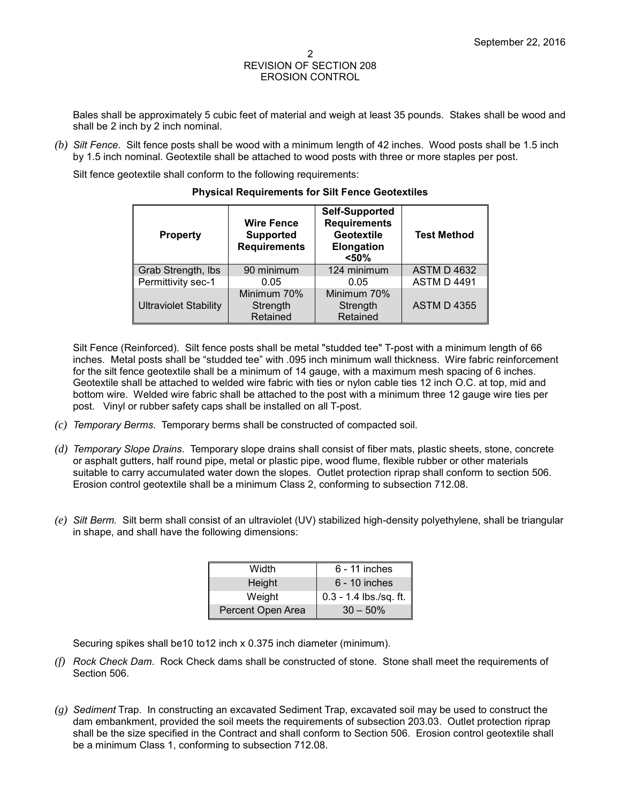Bales shall be approximately 5 cubic feet of material and weigh at least 35 pounds. Stakes shall be wood and shall be 2 inch by 2 inch nominal.

*(b) Silt Fence*. Silt fence posts shall be wood with a minimum length of 42 inches. Wood posts shall be 1.5 inch by 1.5 inch nominal. Geotextile shall be attached to wood posts with three or more staples per post.

Silt fence geotextile shall conform to the following requirements:

| <b>Property</b>              | <b>Wire Fence</b><br><b>Supported</b><br><b>Requirements</b> | Self-Supported<br><b>Requirements</b><br>Geotextile<br><b>Elongation</b><br>< 50% | <b>Test Method</b> |
|------------------------------|--------------------------------------------------------------|-----------------------------------------------------------------------------------|--------------------|
| Grab Strength, Ibs           | 90 minimum                                                   | 124 minimum                                                                       | <b>ASTM D 4632</b> |
| Permittivity sec-1           | 0.05                                                         | 0.05                                                                              | <b>ASTM D 4491</b> |
| <b>Ultraviolet Stability</b> | Minimum 70%<br>Strength<br>Retained                          | Minimum 70%<br>Strength<br>Retained                                               | <b>ASTM D 4355</b> |

#### **Physical Requirements for Silt Fence Geotextiles**

Silt Fence (Reinforced). Silt fence posts shall be metal "studded tee" T-post with a minimum length of 66 inches. Metal posts shall be "studded tee" with .095 inch minimum wall thickness. Wire fabric reinforcement for the silt fence geotextile shall be a minimum of 14 gauge, with a maximum mesh spacing of 6 inches. Geotextile shall be attached to welded wire fabric with ties or nylon cable ties 12 inch O.C. at top, mid and bottom wire. Welded wire fabric shall be attached to the post with a minimum three 12 gauge wire ties per post. Vinyl or rubber safety caps shall be installed on all T-post.

- *(c) Temporary Berms*. Temporary berms shall be constructed of compacted soil.
- *(d) Temporary Slope Drains*. Temporary slope drains shall consist of fiber mats, plastic sheets, stone, concrete or asphalt gutters, half round pipe, metal or plastic pipe, wood flume, flexible rubber or other materials suitable to carry accumulated water down the slopes. Outlet protection riprap shall conform to section 506. Erosion control geotextile shall be a minimum Class 2, conforming to subsection 712.08.
- *(e) Silt Berm.* Silt berm shall consist of an ultraviolet (UV) stabilized high-density polyethylene, shall be triangular in shape, and shall have the following dimensions:

| Width             | $6 - 11$ inches          |
|-------------------|--------------------------|
| <b>Height</b>     | $6 - 10$ inches          |
| Weight            | $0.3 - 1.4$ lbs./sq. ft. |
| Percent Open Area | $30 - 50\%$              |

Securing spikes shall be10 to12 inch x 0.375 inch diameter (minimum).

- *(f) Rock Check Dam*. Rock Check dams shall be constructed of stone. Stone shall meet the requirements of Section 506.
- *(g) Sediment* Trap. In constructing an excavated Sediment Trap, excavated soil may be used to construct the dam embankment, provided the soil meets the requirements of subsection 203.03. Outlet protection riprap shall be the size specified in the Contract and shall conform to Section 506. Erosion control geotextile shall be a minimum Class 1, conforming to subsection 712.08.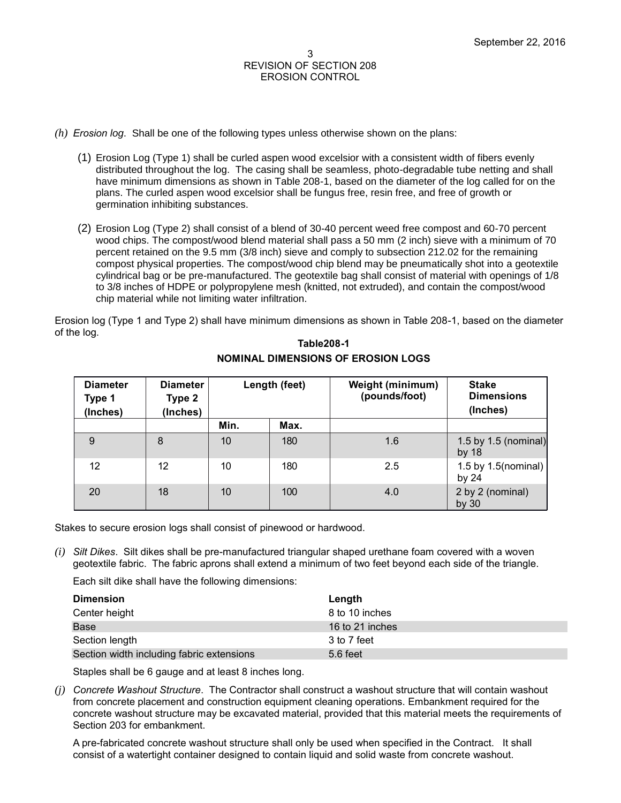- *(h) Erosion log*. Shall be one of the following types unless otherwise shown on the plans:
	- (1) Erosion Log (Type 1) shall be curled aspen wood excelsior with a consistent width of fibers evenly distributed throughout the log. The casing shall be seamless, photo-degradable tube netting and shall have minimum dimensions as shown in Table 208-1, based on the diameter of the log called for on the plans. The curled aspen wood excelsior shall be fungus free, resin free, and free of growth or germination inhibiting substances.
	- (2) Erosion Log (Type 2) shall consist of a blend of 30-40 percent weed free compost and 60-70 percent wood chips. The compost/wood blend material shall pass a 50 mm (2 inch) sieve with a minimum of 70 percent retained on the 9.5 mm (3/8 inch) sieve and comply to subsection 212.02 for the remaining compost physical properties. The compost/wood chip blend may be pneumatically shot into a geotextile cylindrical bag or be pre-manufactured. The geotextile bag shall consist of material with openings of 1/8 to 3/8 inches of HDPE or polypropylene mesh (knitted, not extruded), and contain the compost/wood chip material while not limiting water infiltration.

Erosion log (Type 1 and Type 2) shall have minimum dimensions as shown in Table 208-1, based on the diameter of the log.

| <b>Diameter</b><br>Type 1<br>(Inches) | <b>Diameter</b><br>Type 2<br>(Inches) |      | Length (feet) | Weight (minimum)<br>(pounds/foot) | <b>Stake</b><br><b>Dimensions</b><br>(Inches) |
|---------------------------------------|---------------------------------------|------|---------------|-----------------------------------|-----------------------------------------------|
|                                       |                                       | Min. | Max.          |                                   |                                               |
| 9                                     | 8                                     | 10   | 180           | 1.6                               | 1.5 by 1.5 (nominal)<br>by $18$               |
| 12                                    | 12                                    | 10   | 180           | 2.5                               | 1.5 by $1.5$ (nominal)<br>by $24$             |
| 20                                    | 18                                    | 10   | 100           | 4.0                               | 2 by 2 (nominal)<br>by $30$                   |

## **Table208-1 NOMINAL DIMENSIONS OF EROSION LOGS**

Stakes to secure erosion logs shall consist of pinewood or hardwood.

*(i) Silt Dikes*. Silt dikes shall be pre-manufactured triangular shaped urethane foam covered with a woven geotextile fabric. The fabric aprons shall extend a minimum of two feet beyond each side of the triangle.

Each silt dike shall have the following dimensions:

| <b>Dimension</b>                          | Length          |
|-------------------------------------------|-----------------|
| Center height                             | 8 to 10 inches  |
| <b>Base</b>                               | 16 to 21 inches |
| Section length                            | 3 to 7 feet     |
| Section width including fabric extensions | 5.6 feet        |

Staples shall be 6 gauge and at least 8 inches long.

*(j) Concrete Washout Structure*. The Contractor shall construct a washout structure that will contain washout from concrete placement and construction equipment cleaning operations. Embankment required for the concrete washout structure may be excavated material, provided that this material meets the requirements of Section 203 for embankment.

A pre-fabricated concrete washout structure shall only be used when specified in the Contract. It shall consist of a watertight container designed to contain liquid and solid waste from concrete washout.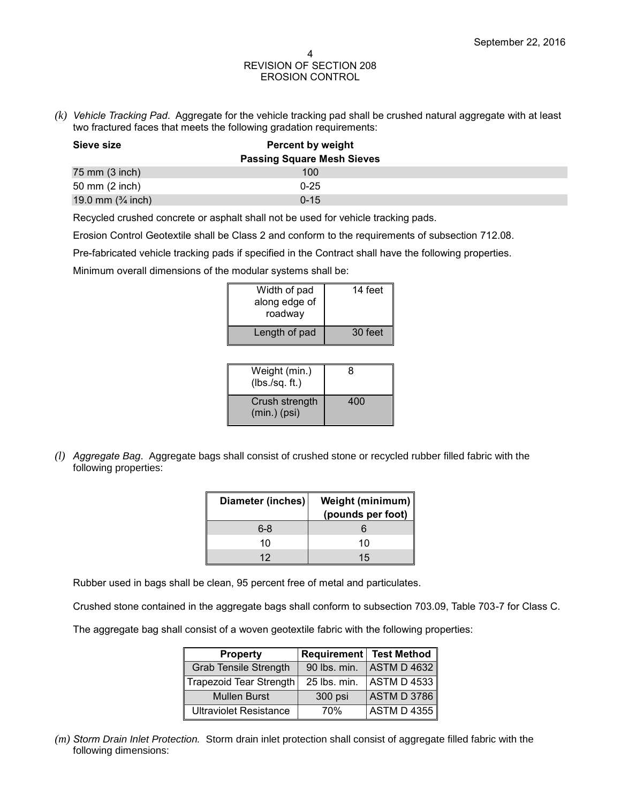*(k) Vehicle Tracking Pad*. Aggregate for the vehicle tracking pad shall be crushed natural aggregate with at least two fractured faces that meets the following gradation requirements:

| Sieve size                   | <b>Percent by weight</b>          |  |
|------------------------------|-----------------------------------|--|
|                              | <b>Passing Square Mesh Sieves</b> |  |
| 75 mm (3 inch)               | 100                               |  |
| 50 mm (2 inch)               | $0 - 25$                          |  |
| 19.0 mm $(3/4 \text{ inch})$ | $0 - 15$                          |  |

Recycled crushed concrete or asphalt shall not be used for vehicle tracking pads.

Erosion Control Geotextile shall be Class 2 and conform to the requirements of subsection 712.08.

Pre-fabricated vehicle tracking pads if specified in the Contract shall have the following properties.

Minimum overall dimensions of the modular systems shall be:

| Width of pad<br>along edge of<br>roadway | 14 feet |
|------------------------------------------|---------|
| Length of pad                            | 30 feet |

| Weight (min.)<br>(lbs./sq. ft.)  | R   |
|----------------------------------|-----|
| Crush strength<br>$(min.)$ (psi) | 400 |

*(l) Aggregate Bag*. Aggregate bags shall consist of crushed stone or recycled rubber filled fabric with the following properties:

| Diameter (inches) | Weight (minimum)<br>(pounds per foot) |
|-------------------|---------------------------------------|
| 6-8               |                                       |
| 10                | 10                                    |
| 12                | 15                                    |

Rubber used in bags shall be clean, 95 percent free of metal and particulates.

Crushed stone contained in the aggregate bags shall conform to subsection 703.09, Table 703-7 for Class C.

The aggregate bag shall consist of a woven geotextile fabric with the following properties:

| <b>Property</b>               | Requirement  | <b>Test Method</b> |
|-------------------------------|--------------|--------------------|
| <b>Grab Tensile Strength</b>  | 90 lbs. min. | ASTM D 4632        |
| Trapezoid Tear Strength       | 25 lbs. min. | <b>ASTM D 4533</b> |
| <b>Mullen Burst</b>           | 300 psi      | <b>ASTM D 3786</b> |
| <b>Ultraviolet Resistance</b> | 70%          | <b>ASTM D 4355</b> |

*(m) Storm Drain Inlet Protection.* Storm drain inlet protection shall consist of aggregate filled fabric with the following dimensions: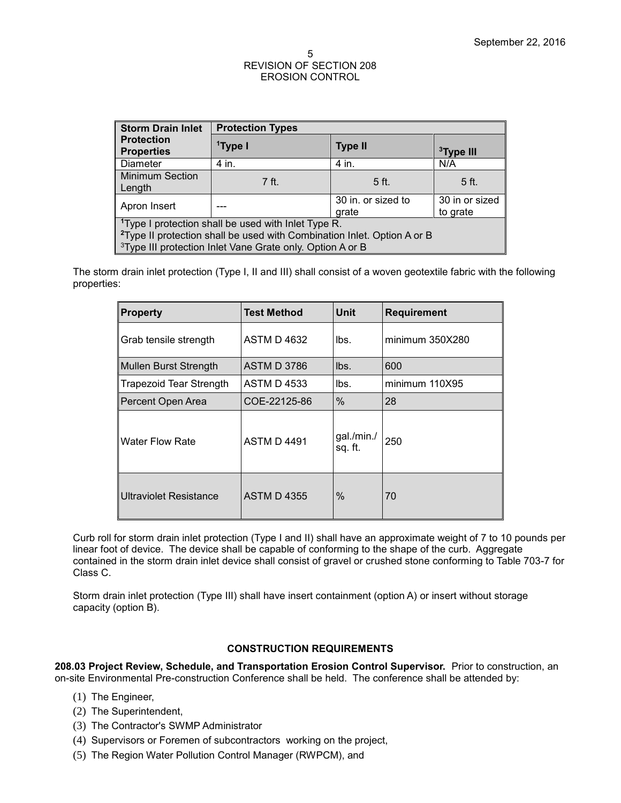| <b>Storm Drain Inlet</b>                                                                                                                                                                                                        | <b>Protection Types</b>     |                |                            |
|---------------------------------------------------------------------------------------------------------------------------------------------------------------------------------------------------------------------------------|-----------------------------|----------------|----------------------------|
| <b>Protection</b><br><b>Properties</b>                                                                                                                                                                                          | <sup>1</sup> Type I         | <b>Type II</b> | <sup>3</sup> Type III      |
| <b>Diameter</b>                                                                                                                                                                                                                 | 4 in.                       | 4 in.          | N/A                        |
| <b>Minimum Section</b><br>Length                                                                                                                                                                                                | 7ft.                        | 5 ft.          | 5 ft.                      |
| Apron Insert                                                                                                                                                                                                                    | 30 in. or sized to<br>grate |                | 30 in or sized<br>to grate |
| <sup>1</sup> Type I protection shall be used with Inlet Type R.<br><sup>2</sup> Type II protection shall be used with Combination Inlet. Option A or B<br><sup>3</sup> Type III protection Inlet Vane Grate only. Option A or B |                             |                |                            |

The storm drain inlet protection (Type I, II and III) shall consist of a woven geotextile fabric with the following properties:

| <b>Property</b>                | Test Method        | <b>Unit</b>           | <b>Requirement</b> |
|--------------------------------|--------------------|-----------------------|--------------------|
| Grab tensile strength          | <b>ASTM D 4632</b> | lbs.                  | minimum 350X280    |
| <b>Mullen Burst Strength</b>   | <b>ASTM D 3786</b> | lbs.                  | 600                |
| <b>Trapezoid Tear Strength</b> | <b>ASTM D 4533</b> | lbs.                  | minimum 110X95     |
| Percent Open Area              | COE-22125-86       | $\%$                  | 28                 |
| <b>Water Flow Rate</b>         | <b>ASTM D 4491</b> | gal./min./<br>sq. ft. | 250                |
| <b>Ultraviolet Resistance</b>  | <b>ASTM D 4355</b> | $\%$                  | 70                 |

Curb roll for storm drain inlet protection (Type I and II) shall have an approximate weight of 7 to 10 pounds per linear foot of device. The device shall be capable of conforming to the shape of the curb. Aggregate contained in the storm drain inlet device shall consist of gravel or crushed stone conforming to Table 703-7 for Class C.

Storm drain inlet protection (Type III) shall have insert containment (option A) or insert without storage capacity (option B).

## **CONSTRUCTION REQUIREMENTS**

**208.03 Project Review, Schedule, and Transportation Erosion Control Supervisor.** Prior to construction, an on-site Environmental Pre-construction Conference shall be held. The conference shall be attended by:

- (1) The Engineer,
- (2) The Superintendent,
- (3) The Contractor's SWMP Administrator
- (4) Supervisors or Foremen of subcontractors working on the project,
- (5) The Region Water Pollution Control Manager (RWPCM), and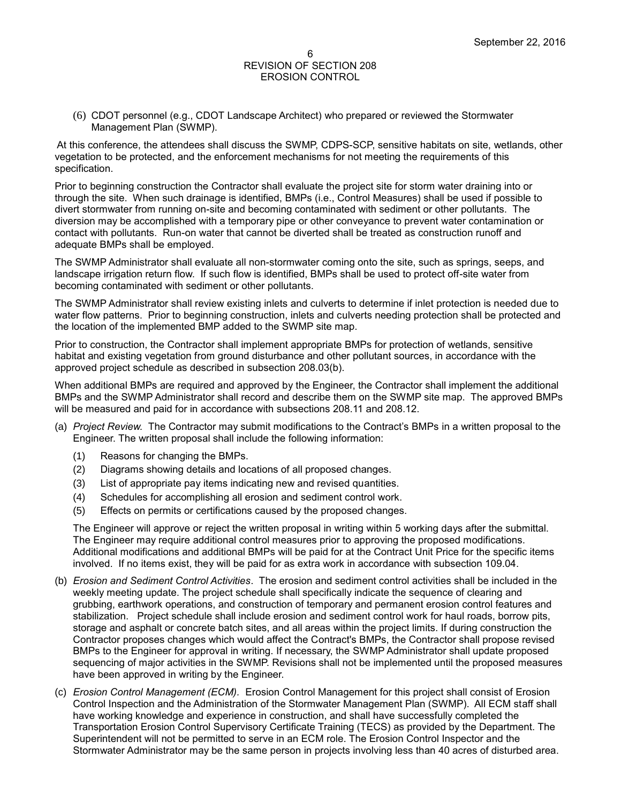(6) CDOT personnel (e.g., CDOT Landscape Architect) who prepared or reviewed the Stormwater Management Plan (SWMP).

At this conference, the attendees shall discuss the SWMP, CDPS-SCP, sensitive habitats on site, wetlands, other vegetation to be protected, and the enforcement mechanisms for not meeting the requirements of this specification.

Prior to beginning construction the Contractor shall evaluate the project site for storm water draining into or through the site. When such drainage is identified, BMPs (i.e., Control Measures) shall be used if possible to divert stormwater from running on-site and becoming contaminated with sediment or other pollutants. The diversion may be accomplished with a temporary pipe or other conveyance to prevent water contamination or contact with pollutants. Run-on water that cannot be diverted shall be treated as construction runoff and adequate BMPs shall be employed.

The SWMP Administrator shall evaluate all non-stormwater coming onto the site, such as springs, seeps, and landscape irrigation return flow. If such flow is identified, BMPs shall be used to protect off-site water from becoming contaminated with sediment or other pollutants.

The SWMP Administrator shall review existing inlets and culverts to determine if inlet protection is needed due to water flow patterns. Prior to beginning construction, inlets and culverts needing protection shall be protected and the location of the implemented BMP added to the SWMP site map.

Prior to construction, the Contractor shall implement appropriate BMPs for protection of wetlands, sensitive habitat and existing vegetation from ground disturbance and other pollutant sources, in accordance with the approved project schedule as described in subsection 208.03(b).

When additional BMPs are required and approved by the Engineer, the Contractor shall implement the additional BMPs and the SWMP Administrator shall record and describe them on the SWMP site map. The approved BMPs will be measured and paid for in accordance with subsections 208.11 and 208.12.

- (a) *Project Review.* The Contractor may submit modifications to the Contract's BMPs in a written proposal to the Engineer. The written proposal shall include the following information:
	- (1) Reasons for changing the BMPs.
	- (2) Diagrams showing details and locations of all proposed changes.
	- (3) List of appropriate pay items indicating new and revised quantities.
	- (4) Schedules for accomplishing all erosion and sediment control work.
	- (5) Effects on permits or certifications caused by the proposed changes.

The Engineer will approve or reject the written proposal in writing within 5 working days after the submittal. The Engineer may require additional control measures prior to approving the proposed modifications. Additional modifications and additional BMPs will be paid for at the Contract Unit Price for the specific items involved. If no items exist, they will be paid for as extra work in accordance with subsection 109.04.

- (b) *Erosion and Sediment Control Activities*. The erosion and sediment control activities shall be included in the weekly meeting update. The project schedule shall specifically indicate the sequence of clearing and grubbing, earthwork operations, and construction of temporary and permanent erosion control features and stabilization. Project schedule shall include erosion and sediment control work for haul roads, borrow pits, storage and asphalt or concrete batch sites, and all areas within the project limits. If during construction the Contractor proposes changes which would affect the Contract's BMPs, the Contractor shall propose revised BMPs to the Engineer for approval in writing. If necessary, the SWMP Administrator shall update proposed sequencing of major activities in the SWMP. Revisions shall not be implemented until the proposed measures have been approved in writing by the Engineer.
- (c) *Erosion Control Management (ECM).* Erosion Control Management for this project shall consist of Erosion Control Inspection and the Administration of the Stormwater Management Plan (SWMP). All ECM staff shall have working knowledge and experience in construction, and shall have successfully completed the Transportation Erosion Control Supervisory Certificate Training (TECS) as provided by the Department. The Superintendent will not be permitted to serve in an ECM role. The Erosion Control Inspector and the Stormwater Administrator may be the same person in projects involving less than 40 acres of disturbed area.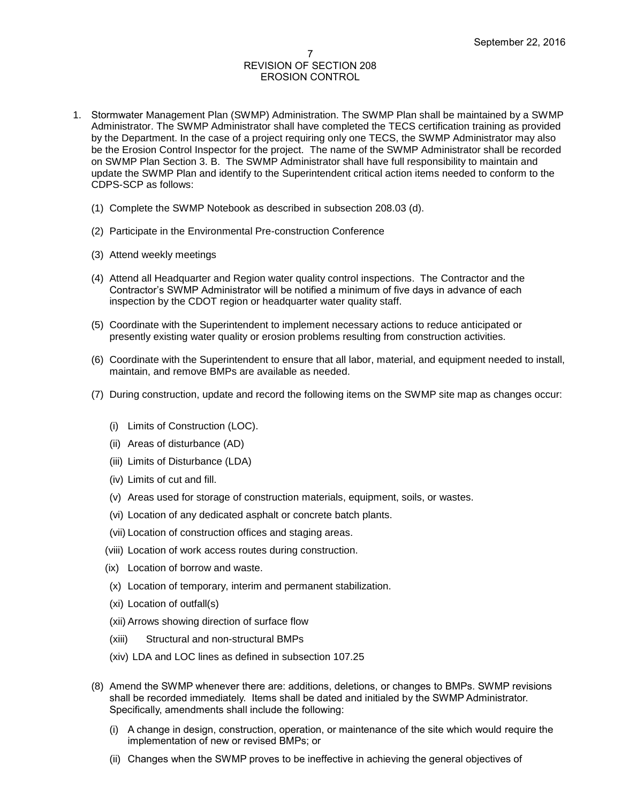- 1. Stormwater Management Plan (SWMP) Administration. The SWMP Plan shall be maintained by a SWMP Administrator. The SWMP Administrator shall have completed the TECS certification training as provided by the Department. In the case of a project requiring only one TECS, the SWMP Administrator may also be the Erosion Control Inspector for the project. The name of the SWMP Administrator shall be recorded on SWMP Plan Section 3. B. The SWMP Administrator shall have full responsibility to maintain and update the SWMP Plan and identify to the Superintendent critical action items needed to conform to the CDPS-SCP as follows:
	- (1) Complete the SWMP Notebook as described in subsection 208.03 (d).
	- (2) Participate in the Environmental Pre-construction Conference
	- (3) Attend weekly meetings
	- (4) Attend all Headquarter and Region water quality control inspections. The Contractor and the Contractor's SWMP Administrator will be notified a minimum of five days in advance of each inspection by the CDOT region or headquarter water quality staff.
	- (5) Coordinate with the Superintendent to implement necessary actions to reduce anticipated or presently existing water quality or erosion problems resulting from construction activities.
	- (6) Coordinate with the Superintendent to ensure that all labor, material, and equipment needed to install, maintain, and remove BMPs are available as needed.
	- (7) During construction, update and record the following items on the SWMP site map as changes occur:
		- (i) Limits of Construction (LOC).
		- (ii) Areas of disturbance (AD)
		- (iii) Limits of Disturbance (LDA)
		- (iv) Limits of cut and fill.
		- (v) Areas used for storage of construction materials, equipment, soils, or wastes.
		- (vi) Location of any dedicated asphalt or concrete batch plants.
		- (vii) Location of construction offices and staging areas.
		- (viii) Location of work access routes during construction.
		- (ix) Location of borrow and waste.
		- (x) Location of temporary, interim and permanent stabilization.
		- (xi) Location of outfall(s)
		- (xii) Arrows showing direction of surface flow
		- (xiii) Structural and non-structural BMPs
		- (xiv) LDA and LOC lines as defined in subsection 107.25
	- (8) Amend the SWMP whenever there are: additions, deletions, or changes to BMPs. SWMP revisions shall be recorded immediately. Items shall be dated and initialed by the SWMP Administrator. Specifically, amendments shall include the following:
		- (i) A change in design, construction, operation, or maintenance of the site which would require the implementation of new or revised BMPs; or
		- (ii) Changes when the SWMP proves to be ineffective in achieving the general objectives of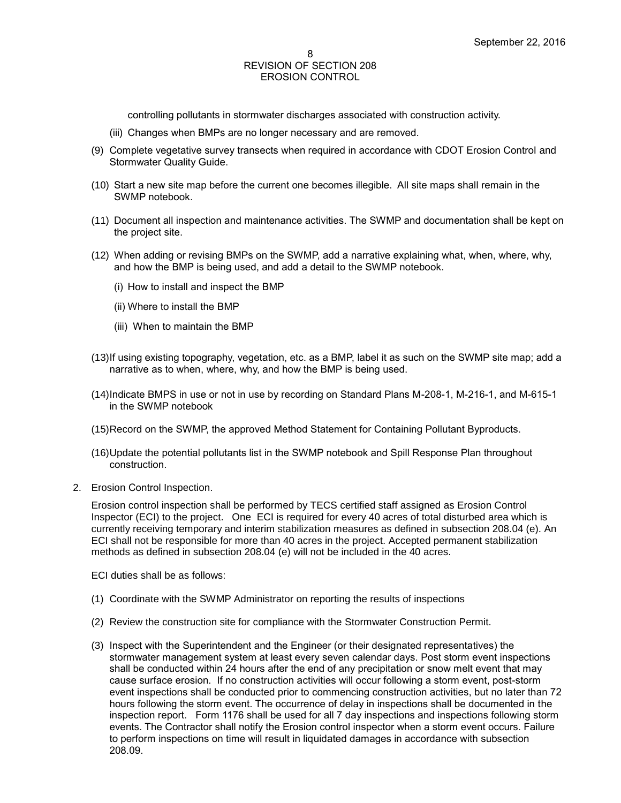controlling pollutants in stormwater discharges associated with construction activity.

- (iii) Changes when BMPs are no longer necessary and are removed.
- (9) Complete vegetative survey transects when required in accordance with CDOT Erosion Control and Stormwater Quality Guide.
- (10) Start a new site map before the current one becomes illegible. All site maps shall remain in the SWMP notebook.
- (11) Document all inspection and maintenance activities. The SWMP and documentation shall be kept on the project site.
- (12) When adding or revising BMPs on the SWMP, add a narrative explaining what, when, where, why, and how the BMP is being used, and add a detail to the SWMP notebook.
	- (i) How to install and inspect the BMP
	- (ii) Where to install the BMP
	- (iii) When to maintain the BMP
- (13)If using existing topography, vegetation, etc. as a BMP, label it as such on the SWMP site map; add a narrative as to when, where, why, and how the BMP is being used.
- (14)Indicate BMPS in use or not in use by recording on Standard Plans M-208-1, M-216-1, and M-615-1 in the SWMP notebook
- (15)Record on the SWMP, the approved Method Statement for Containing Pollutant Byproducts.
- (16)Update the potential pollutants list in the SWMP notebook and Spill Response Plan throughout construction.
- 2. Erosion Control Inspection.

Erosion control inspection shall be performed by TECS certified staff assigned as Erosion Control Inspector (ECI) to the project. One ECI is required for every 40 acres of total disturbed area which is currently receiving temporary and interim stabilization measures as defined in subsection 208.04 (e). An ECI shall not be responsible for more than 40 acres in the project. Accepted permanent stabilization methods as defined in subsection 208.04 (e) will not be included in the 40 acres.

ECI duties shall be as follows:

- (1) Coordinate with the SWMP Administrator on reporting the results of inspections
- (2) Review the construction site for compliance with the Stormwater Construction Permit.
- (3) Inspect with the Superintendent and the Engineer (or their designated representatives) the stormwater management system at least every seven calendar days. Post storm event inspections shall be conducted within 24 hours after the end of any precipitation or snow melt event that may cause surface erosion. If no construction activities will occur following a storm event, post-storm event inspections shall be conducted prior to commencing construction activities, but no later than 72 hours following the storm event. The occurrence of delay in inspections shall be documented in the inspection report. Form 1176 shall be used for all 7 day inspections and inspections following storm events. The Contractor shall notify the Erosion control inspector when a storm event occurs. Failure to perform inspections on time will result in liquidated damages in accordance with subsection 208.09.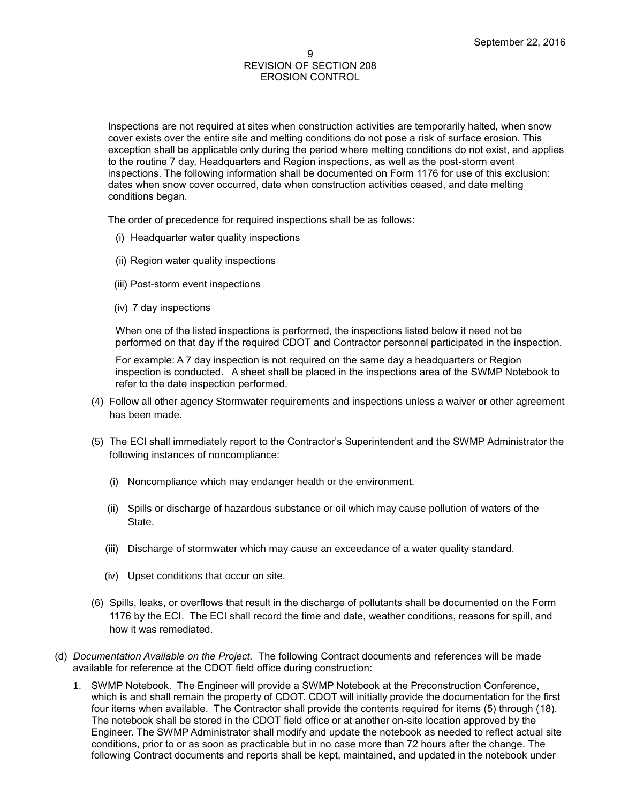Inspections are not required at sites when construction activities are temporarily halted, when snow cover exists over the entire site and melting conditions do not pose a risk of surface erosion. This exception shall be applicable only during the period where melting conditions do not exist, and applies to the routine 7 day, Headquarters and Region inspections, as well as the post-storm event inspections. The following information shall be documented on Form 1176 for use of this exclusion: dates when snow cover occurred, date when construction activities ceased, and date melting conditions began.

The order of precedence for required inspections shall be as follows:

- (i) Headquarter water quality inspections
- (ii) Region water quality inspections
- (iii) Post-storm event inspections
- (iv) 7 day inspections

When one of the listed inspections is performed, the inspections listed below it need not be performed on that day if the required CDOT and Contractor personnel participated in the inspection.

For example: A 7 day inspection is not required on the same day a headquarters or Region inspection is conducted. A sheet shall be placed in the inspections area of the SWMP Notebook to refer to the date inspection performed.

- (4) Follow all other agency Stormwater requirements and inspections unless a waiver or other agreement has been made.
- (5) The ECI shall immediately report to the Contractor's Superintendent and the SWMP Administrator the following instances of noncompliance:
	- (i) Noncompliance which may endanger health or the environment.
	- (ii) Spills or discharge of hazardous substance or oil which may cause pollution of waters of the State.
	- (iii) Discharge of stormwater which may cause an exceedance of a water quality standard.
	- (iv) Upset conditions that occur on site.
- (6) Spills, leaks, or overflows that result in the discharge of pollutants shall be documented on the Form 1176 by the ECI. The ECI shall record the time and date, weather conditions, reasons for spill, and how it was remediated.
- (d) *Documentation Available on the Project.* The following Contract documents and references will be made available for reference at the CDOT field office during construction:
	- 1. SWMP Notebook. The Engineer will provide a SWMP Notebook at the Preconstruction Conference, which is and shall remain the property of CDOT. CDOT will initially provide the documentation for the first four items when available. The Contractor shall provide the contents required for items (5) through (18). The notebook shall be stored in the CDOT field office or at another on-site location approved by the Engineer. The SWMP Administrator shall modify and update the notebook as needed to reflect actual site conditions, prior to or as soon as practicable but in no case more than 72 hours after the change. The following Contract documents and reports shall be kept, maintained, and updated in the notebook under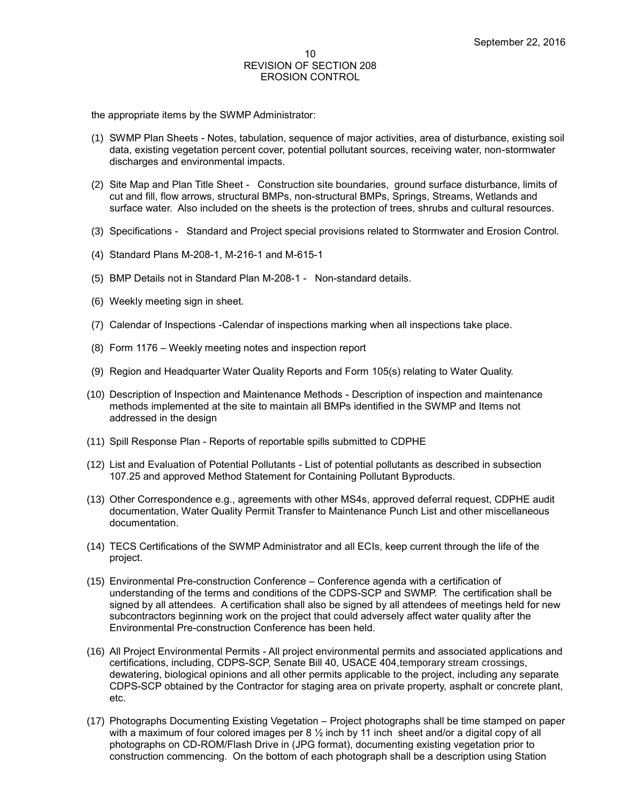the appropriate items by the SWMP Administrator:

- (1) SWMP Plan Sheets Notes, tabulation, sequence of major activities, area of disturbance, existing soil data, existing vegetation percent cover, potential pollutant sources, receiving water, non-stormwater discharges and environmental impacts.
- (2) Site Map and Plan Title Sheet *-* Construction site boundaries, ground surface disturbance, limits of cut and fill, flow arrows, structural BMPs, non-structural BMPs, Springs, Streams, Wetlands and surface water. Also included on the sheets is the protection of trees, shrubs and cultural resources.
- (3) Specifications Standard and Project special provisions related to Stormwater and Erosion Control.
- (4) Standard Plans M-208-1, M-216-1 and M-615-1
- (5) BMP Details not in Standard Plan M-208-1 Non-standard details.
- (6) Weekly meeting sign in sheet.
- (7) Calendar of Inspections -Calendar of inspections marking when all inspections take place.
- (8) Form 1176 Weekly meeting notes and inspection report
- (9) Region and Headquarter Water Quality Reports and Form 105(s) relating to Water Quality.
- (10) Description of Inspection and Maintenance Methods Description of inspection and maintenance methods implemented at the site to maintain all BMPs identified in the SWMP and Items not addressed in the design
- (11) Spill Response Plan Reports of reportable spills submitted to CDPHE
- (12) List and Evaluation of Potential Pollutants List of potential pollutants as described in subsection 107.25 and approved Method Statement for Containing Pollutant Byproducts.
- (13) Other Correspondence e.g., agreements with other MS4s, approved deferral request, CDPHE audit documentation, Water Quality Permit Transfer to Maintenance Punch List and other miscellaneous documentation.
- (14) TECS Certifications of the SWMP Administrator and all ECIs, keep current through the life of the project.
- (15) Environmental Pre-construction Conference Conference agenda with a certification of understanding of the terms and conditions of the CDPS-SCP and SWMP. The certification shall be signed by all attendees. A certification shall also be signed by all attendees of meetings held for new subcontractors beginning work on the project that could adversely affect water quality after the Environmental Pre-construction Conference has been held.
- (16) All Project Environmental Permits All project environmental permits and associated applications and certifications, including, CDPS-SCP, Senate Bill 40, USACE 404,temporary stream crossings, dewatering, biological opinions and all other permits applicable to the project, including any separate CDPS-SCP obtained by the Contractor for staging area on private property, asphalt or concrete plant, etc.
- (17) Photographs Documenting Existing Vegetation Project photographs shall be time stamped on paper with a maximum of four colored images per  $8\frac{1}{2}$  inch by 11 inch sheet and/or a digital copy of all photographs on CD-ROM/Flash Drive in (JPG format), documenting existing vegetation prior to construction commencing. On the bottom of each photograph shall be a description using Station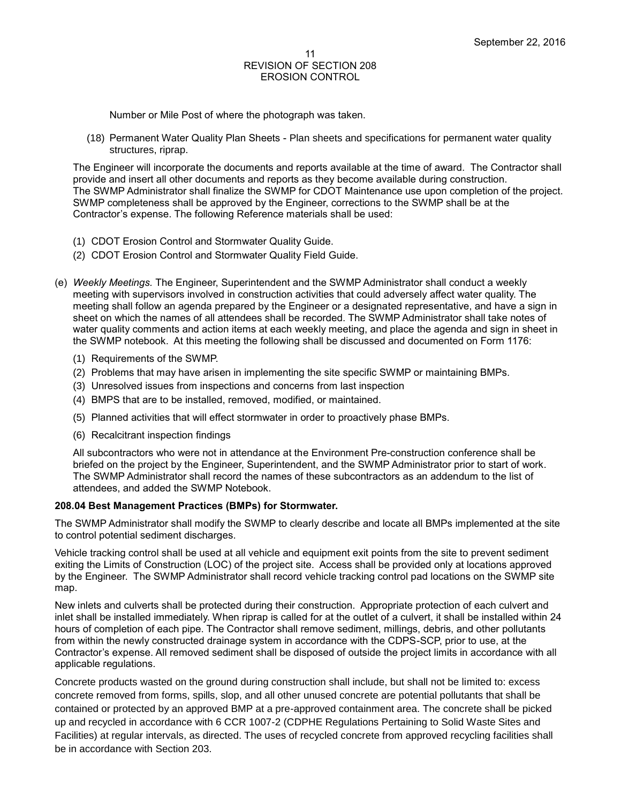Number or Mile Post of where the photograph was taken.

(18) Permanent Water Quality Plan Sheets - Plan sheets and specifications for permanent water quality structures, riprap.

The Engineer will incorporate the documents and reports available at the time of award. The Contractor shall provide and insert all other documents and reports as they become available during construction. The SWMP Administrator shall finalize the SWMP for CDOT Maintenance use upon completion of the project. SWMP completeness shall be approved by the Engineer, corrections to the SWMP shall be at the Contractor's expense. The following Reference materials shall be used:

- (1) CDOT Erosion Control and Stormwater Quality Guide.
- (2) CDOT Erosion Control and Stormwater Quality Field Guide.
- (e) *Weekly Meetings.* The Engineer, Superintendent and the SWMP Administrator shall conduct a weekly meeting with supervisors involved in construction activities that could adversely affect water quality. The meeting shall follow an agenda prepared by the Engineer or a designated representative, and have a sign in sheet on which the names of all attendees shall be recorded. The SWMP Administrator shall take notes of water quality comments and action items at each weekly meeting, and place the agenda and sign in sheet in the SWMP notebook. At this meeting the following shall be discussed and documented on Form 1176:
	- (1) Requirements of the SWMP.
	- (2) Problems that may have arisen in implementing the site specific SWMP or maintaining BMPs.
	- (3) Unresolved issues from inspections and concerns from last inspection
	- (4) BMPS that are to be installed, removed, modified, or maintained.
	- (5) Planned activities that will effect stormwater in order to proactively phase BMPs.
	- (6) Recalcitrant inspection findings

All subcontractors who were not in attendance at the Environment Pre-construction conference shall be briefed on the project by the Engineer, Superintendent, and the SWMP Administrator prior to start of work. The SWMP Administrator shall record the names of these subcontractors as an addendum to the list of attendees, and added the SWMP Notebook.

#### **208.04 Best Management Practices (BMPs) for Stormwater.**

The SWMP Administrator shall modify the SWMP to clearly describe and locate all BMPs implemented at the site to control potential sediment discharges.

Vehicle tracking control shall be used at all vehicle and equipment exit points from the site to prevent sediment exiting the Limits of Construction (LOC) of the project site. Access shall be provided only at locations approved by the Engineer. The SWMP Administrator shall record vehicle tracking control pad locations on the SWMP site map.

New inlets and culverts shall be protected during their construction. Appropriate protection of each culvert and inlet shall be installed immediately. When riprap is called for at the outlet of a culvert, it shall be installed within 24 hours of completion of each pipe. The Contractor shall remove sediment, millings, debris, and other pollutants from within the newly constructed drainage system in accordance with the CDPS-SCP, prior to use, at the Contractor's expense. All removed sediment shall be disposed of outside the project limits in accordance with all applicable regulations.

Concrete products wasted on the ground during construction shall include, but shall not be limited to: excess concrete removed from forms, spills, slop, and all other unused concrete are potential pollutants that shall be contained or protected by an approved BMP at a pre-approved containment area. The concrete shall be picked up and recycled in accordance with 6 CCR 1007-2 (CDPHE Regulations Pertaining to Solid Waste Sites and Facilities) at regular intervals, as directed. The uses of recycled concrete from approved recycling facilities shall be in accordance with Section 203.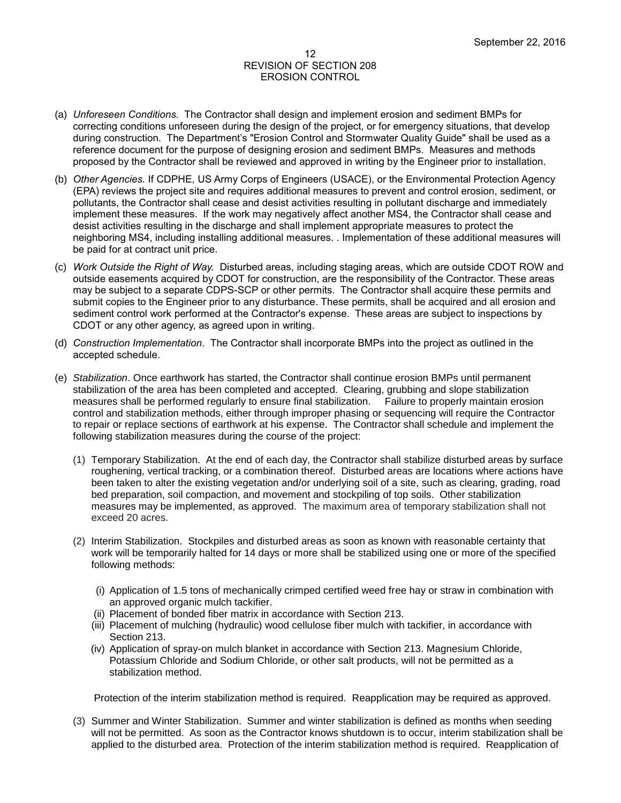- (a) *Unforeseen Conditions.* The Contractor shall design and implement erosion and sediment BMPs for correcting conditions unforeseen during the design of the project, or for emergency situations, that develop during construction. The Department's "Erosion Control and Stormwater Quality Guide" shall be used as a reference document for the purpose of designing erosion and sediment BMPs. Measures and methods proposed by the Contractor shall be reviewed and approved in writing by the Engineer prior to installation.
- (b) *Other Agencies.* If CDPHE, US Army Corps of Engineers (USACE), or the Environmental Protection Agency (EPA) reviews the project site and requires additional measures to prevent and control erosion, sediment, or pollutants, the Contractor shall cease and desist activities resulting in pollutant discharge and immediately implement these measures. If the work may negatively affect another MS4, the Contractor shall cease and desist activities resulting in the discharge and shall implement appropriate measures to protect the neighboring MS4, including installing additional measures. . Implementation of these additional measures will be paid for at contract unit price.
- (c) *Work Outside the Right of Way.* Disturbed areas, including staging areas, which are outside CDOT ROW and outside easements acquired by CDOT for construction, are the responsibility of the Contractor. These areas may be subject to a separate CDPS-SCP or other permits. The Contractor shall acquire these permits and submit copies to the Engineer prior to any disturbance. These permits, shall be acquired and all erosion and sediment control work performed at the Contractor's expense. These areas are subject to inspections by CDOT or any other agency, as agreed upon in writing.
- (d) *Construction Implementation*. The Contractor shall incorporate BMPs into the project as outlined in the accepted schedule.
- (e) *Stabilization*. Once earthwork has started, the Contractor shall continue erosion BMPs until permanent stabilization of the area has been completed and accepted. Clearing, grubbing and slope stabilization measures shall be performed regularly to ensure final stabilization. Failure to properly maintain erosion control and stabilization methods, either through improper phasing or sequencing will require the Contractor to repair or replace sections of earthwork at his expense. The Contractor shall schedule and implement the following stabilization measures during the course of the project:
	- (1) Temporary Stabilization. At the end of each day, the Contractor shall stabilize disturbed areas by surface roughening, vertical tracking, or a combination thereof. Disturbed areas are locations where actions have been taken to alter the existing vegetation and/or underlying soil of a site, such as clearing, grading, road bed preparation, soil compaction, and movement and stockpiling of top soils. Other stabilization measures may be implemented, as approved. The maximum area of temporary stabilization shall not exceed 20 acres.
	- (2) Interim Stabilization. Stockpiles and disturbed areas as soon as known with reasonable certainty that work will be temporarily halted for 14 days or more shall be stabilized using one or more of the specified following methods:
		- (i) Application of 1.5 tons of mechanically crimped certified weed free hay or straw in combination with an approved organic mulch tackifier.
		- (ii) Placement of bonded fiber matrix in accordance with Section 213.
		- (iii) Placement of mulching (hydraulic) wood cellulose fiber mulch with tackifier, in accordance with Section 213.
		- (iv) Application of spray-on mulch blanket in accordance with Section 213. Magnesium Chloride, Potassium Chloride and Sodium Chloride, or other salt products, will not be permitted as a stabilization method.

Protection of the interim stabilization method is required. Reapplication may be required as approved.

(3) Summer and Winter Stabilization. Summer and winter stabilization is defined as months when seeding will not be permitted. As soon as the Contractor knows shutdown is to occur, interim stabilization shall be applied to the disturbed area. Protection of the interim stabilization method is required. Reapplication of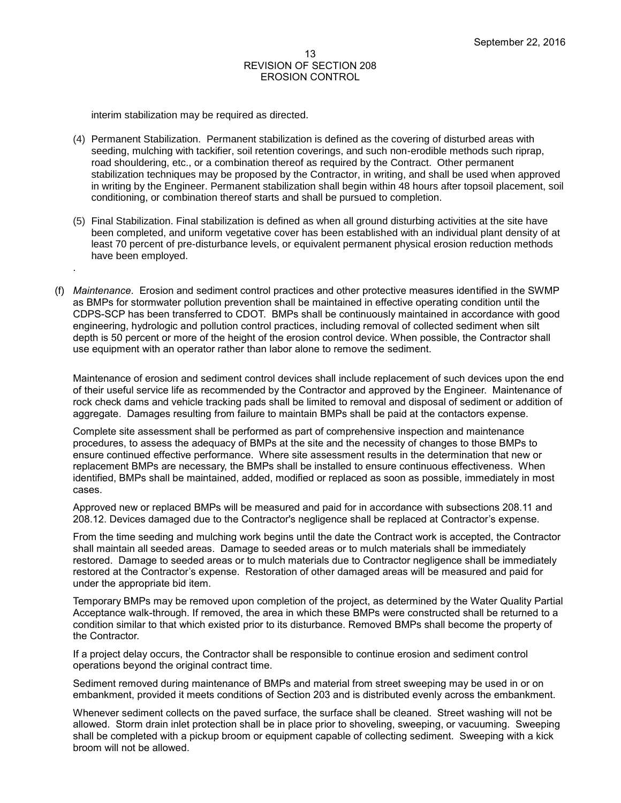interim stabilization may be required as directed.

.

- (4) Permanent Stabilization. Permanent stabilization is defined as the covering of disturbed areas with seeding, mulching with tackifier, soil retention coverings, and such non-erodible methods such riprap, road shouldering, etc., or a combination thereof as required by the Contract. Other permanent stabilization techniques may be proposed by the Contractor, in writing, and shall be used when approved in writing by the Engineer. Permanent stabilization shall begin within 48 hours after topsoil placement, soil conditioning, or combination thereof starts and shall be pursued to completion.
- (5) Final Stabilization. Final stabilization is defined as when all ground disturbing activities at the site have been completed, and uniform vegetative cover has been established with an individual plant density of at least 70 percent of pre-disturbance levels, or equivalent permanent physical erosion reduction methods have been employed.
- (f) *Maintenance*. Erosion and sediment control practices and other protective measures identified in the SWMP as BMPs for stormwater pollution prevention shall be maintained in effective operating condition until the CDPS-SCP has been transferred to CDOT. BMPs shall be continuously maintained in accordance with good engineering, hydrologic and pollution control practices, including removal of collected sediment when silt depth is 50 percent or more of the height of the erosion control device. When possible, the Contractor shall use equipment with an operator rather than labor alone to remove the sediment.

Maintenance of erosion and sediment control devices shall include replacement of such devices upon the end of their useful service life as recommended by the Contractor and approved by the Engineer. Maintenance of rock check dams and vehicle tracking pads shall be limited to removal and disposal of sediment or addition of aggregate. Damages resulting from failure to maintain BMPs shall be paid at the contactors expense.

Complete site assessment shall be performed as part of comprehensive inspection and maintenance procedures, to assess the adequacy of BMPs at the site and the necessity of changes to those BMPs to ensure continued effective performance. Where site assessment results in the determination that new or replacement BMPs are necessary, the BMPs shall be installed to ensure continuous effectiveness. When identified, BMPs shall be maintained, added, modified or replaced as soon as possible, immediately in most cases.

Approved new or replaced BMPs will be measured and paid for in accordance with subsections 208.11 and 208.12. Devices damaged due to the Contractor's negligence shall be replaced at Contractor's expense.

From the time seeding and mulching work begins until the date the Contract work is accepted, the Contractor shall maintain all seeded areas. Damage to seeded areas or to mulch materials shall be immediately restored. Damage to seeded areas or to mulch materials due to Contractor negligence shall be immediately restored at the Contractor's expense. Restoration of other damaged areas will be measured and paid for under the appropriate bid item.

Temporary BMPs may be removed upon completion of the project, as determined by the Water Quality Partial Acceptance walk-through. If removed, the area in which these BMPs were constructed shall be returned to a condition similar to that which existed prior to its disturbance. Removed BMPs shall become the property of the Contractor.

If a project delay occurs, the Contractor shall be responsible to continue erosion and sediment control operations beyond the original contract time.

Sediment removed during maintenance of BMPs and material from street sweeping may be used in or on embankment, provided it meets conditions of Section 203 and is distributed evenly across the embankment.

Whenever sediment collects on the paved surface, the surface shall be cleaned. Street washing will not be allowed. Storm drain inlet protection shall be in place prior to shoveling, sweeping, or vacuuming. Sweeping shall be completed with a pickup broom or equipment capable of collecting sediment. Sweeping with a kick broom will not be allowed.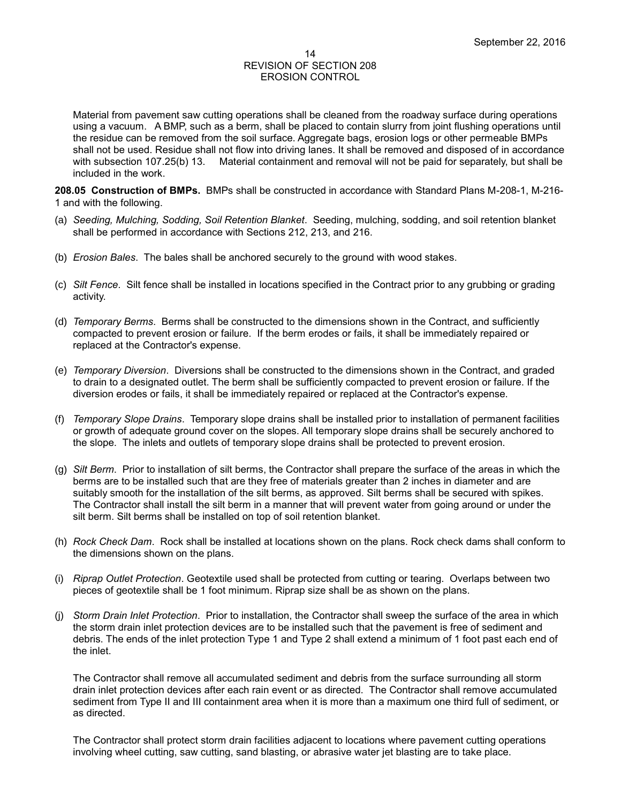Material from pavement saw cutting operations shall be cleaned from the roadway surface during operations using a vacuum. A BMP, such as a berm, shall be placed to contain slurry from joint flushing operations until the residue can be removed from the soil surface. Aggregate bags, erosion logs or other permeable BMPs shall not be used. Residue shall not flow into driving lanes. It shall be removed and disposed of in accordance with subsection 107.25(b) 13. Material containment and removal will not be paid for separately, but shall be included in the work.

**208.05 Construction of BMPs.** BMPs shall be constructed in accordance with Standard Plans M-208-1, M-216- 1 and with the following.

- (a) *Seeding, Mulching, Sodding, Soil Retention Blanket*. Seeding, mulching, sodding, and soil retention blanket shall be performed in accordance with Sections 212, 213, and 216.
- (b) *Erosion Bales*. The bales shall be anchored securely to the ground with wood stakes.
- (c) *Silt Fence*. Silt fence shall be installed in locations specified in the Contract prior to any grubbing or grading activity.
- (d) *Temporary Berms*. Berms shall be constructed to the dimensions shown in the Contract, and sufficiently compacted to prevent erosion or failure. If the berm erodes or fails, it shall be immediately repaired or replaced at the Contractor's expense.
- (e) *Temporary Diversion*. Diversions shall be constructed to the dimensions shown in the Contract, and graded to drain to a designated outlet. The berm shall be sufficiently compacted to prevent erosion or failure. If the diversion erodes or fails, it shall be immediately repaired or replaced at the Contractor's expense.
- (f) *Temporary Slope Drains*. Temporary slope drains shall be installed prior to installation of permanent facilities or growth of adequate ground cover on the slopes. All temporary slope drains shall be securely anchored to the slope. The inlets and outlets of temporary slope drains shall be protected to prevent erosion.
- (g) *Silt Berm*. Prior to installation of silt berms, the Contractor shall prepare the surface of the areas in which the berms are to be installed such that are they free of materials greater than 2 inches in diameter and are suitably smooth for the installation of the silt berms, as approved. Silt berms shall be secured with spikes. The Contractor shall install the silt berm in a manner that will prevent water from going around or under the silt berm. Silt berms shall be installed on top of soil retention blanket.
- (h) *Rock Check Dam*. Rock shall be installed at locations shown on the plans. Rock check dams shall conform to the dimensions shown on the plans.
- (i) *Riprap Outlet Protection*. Geotextile used shall be protected from cutting or tearing. Overlaps between two pieces of geotextile shall be 1 foot minimum. Riprap size shall be as shown on the plans.
- (j) *Storm Drain Inlet Protection*. Prior to installation, the Contractor shall sweep the surface of the area in which the storm drain inlet protection devices are to be installed such that the pavement is free of sediment and debris. The ends of the inlet protection Type 1 and Type 2 shall extend a minimum of 1 foot past each end of the inlet.

The Contractor shall remove all accumulated sediment and debris from the surface surrounding all storm drain inlet protection devices after each rain event or as directed. The Contractor shall remove accumulated sediment from Type II and III containment area when it is more than a maximum one third full of sediment, or as directed.

The Contractor shall protect storm drain facilities adjacent to locations where pavement cutting operations involving wheel cutting, saw cutting, sand blasting, or abrasive water jet blasting are to take place.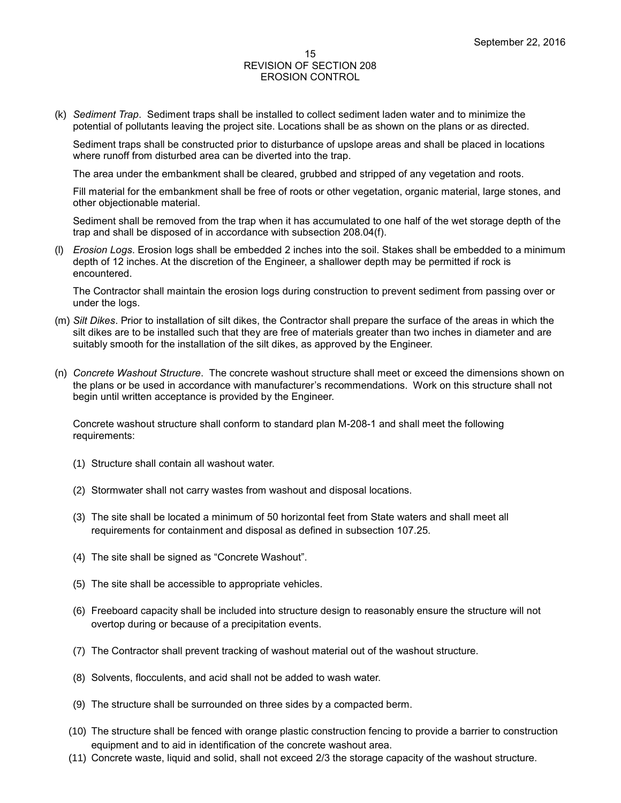(k) *Sediment Trap*. Sediment traps shall be installed to collect sediment laden water and to minimize the potential of pollutants leaving the project site. Locations shall be as shown on the plans or as directed.

Sediment traps shall be constructed prior to disturbance of upslope areas and shall be placed in locations where runoff from disturbed area can be diverted into the trap.

The area under the embankment shall be cleared, grubbed and stripped of any vegetation and roots.

Fill material for the embankment shall be free of roots or other vegetation, organic material, large stones, and other objectionable material.

Sediment shall be removed from the trap when it has accumulated to one half of the wet storage depth of the trap and shall be disposed of in accordance with subsection 208.04(f).

(l) *Erosion Logs*. Erosion logs shall be embedded 2 inches into the soil. Stakes shall be embedded to a minimum depth of 12 inches. At the discretion of the Engineer, a shallower depth may be permitted if rock is encountered.

The Contractor shall maintain the erosion logs during construction to prevent sediment from passing over or under the logs.

- (m) *Silt Dikes*. Prior to installation of silt dikes, the Contractor shall prepare the surface of the areas in which the silt dikes are to be installed such that they are free of materials greater than two inches in diameter and are suitably smooth for the installation of the silt dikes, as approved by the Engineer.
- (n) *Concrete Washout Structure*. The concrete washout structure shall meet or exceed the dimensions shown on the plans or be used in accordance with manufacturer's recommendations. Work on this structure shall not begin until written acceptance is provided by the Engineer.

Concrete washout structure shall conform to standard plan M-208-1 and shall meet the following requirements:

- (1) Structure shall contain all washout water.
- (2) Stormwater shall not carry wastes from washout and disposal locations.
- (3) The site shall be located a minimum of 50 horizontal feet from State waters and shall meet all requirements for containment and disposal as defined in subsection 107.25.
- (4) The site shall be signed as "Concrete Washout".
- (5) The site shall be accessible to appropriate vehicles.
- (6) Freeboard capacity shall be included into structure design to reasonably ensure the structure will not overtop during or because of a precipitation events.
- (7) The Contractor shall prevent tracking of washout material out of the washout structure.
- (8) Solvents, flocculents, and acid shall not be added to wash water.
- (9) The structure shall be surrounded on three sides by a compacted berm.
- (10) The structure shall be fenced with orange plastic construction fencing to provide a barrier to construction equipment and to aid in identification of the concrete washout area.
- (11) Concrete waste, liquid and solid, shall not exceed 2/3 the storage capacity of the washout structure.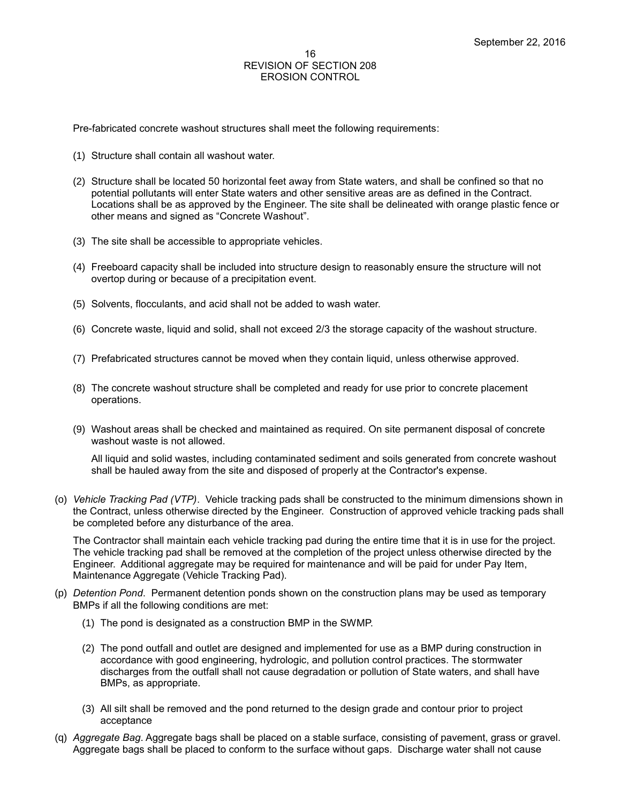Pre-fabricated concrete washout structures shall meet the following requirements:

- (1) Structure shall contain all washout water.
- (2) Structure shall be located 50 horizontal feet away from State waters, and shall be confined so that no potential pollutants will enter State waters and other sensitive areas are as defined in the Contract. Locations shall be as approved by the Engineer. The site shall be delineated with orange plastic fence or other means and signed as "Concrete Washout".
- (3) The site shall be accessible to appropriate vehicles.
- (4) Freeboard capacity shall be included into structure design to reasonably ensure the structure will not overtop during or because of a precipitation event.
- (5) Solvents, flocculants, and acid shall not be added to wash water.
- (6) Concrete waste, liquid and solid, shall not exceed 2/3 the storage capacity of the washout structure.
- (7) Prefabricated structures cannot be moved when they contain liquid, unless otherwise approved.
- (8) The concrete washout structure shall be completed and ready for use prior to concrete placement operations.
- (9) Washout areas shall be checked and maintained as required. On site permanent disposal of concrete washout waste is not allowed.

All liquid and solid wastes, including contaminated sediment and soils generated from concrete washout shall be hauled away from the site and disposed of properly at the Contractor's expense.

(o) *Vehicle Tracking Pad (VTP)*. Vehicle tracking pads shall be constructed to the minimum dimensions shown in the Contract, unless otherwise directed by the Engineer. Construction of approved vehicle tracking pads shall be completed before any disturbance of the area.

The Contractor shall maintain each vehicle tracking pad during the entire time that it is in use for the project. The vehicle tracking pad shall be removed at the completion of the project unless otherwise directed by the Engineer. Additional aggregate may be required for maintenance and will be paid for under Pay Item, Maintenance Aggregate (Vehicle Tracking Pad).

- (p) *Detention Pond*. Permanent detention ponds shown on the construction plans may be used as temporary BMPs if all the following conditions are met:
	- (1) The pond is designated as a construction BMP in the SWMP.
	- (2) The pond outfall and outlet are designed and implemented for use as a BMP during construction in accordance with good engineering, hydrologic, and pollution control practices. The stormwater discharges from the outfall shall not cause degradation or pollution of State waters, and shall have BMPs, as appropriate.
	- (3) All silt shall be removed and the pond returned to the design grade and contour prior to project acceptance
- (q) *Aggregate Bag*. Aggregate bags shall be placed on a stable surface, consisting of pavement, grass or gravel. Aggregate bags shall be placed to conform to the surface without gaps. Discharge water shall not cause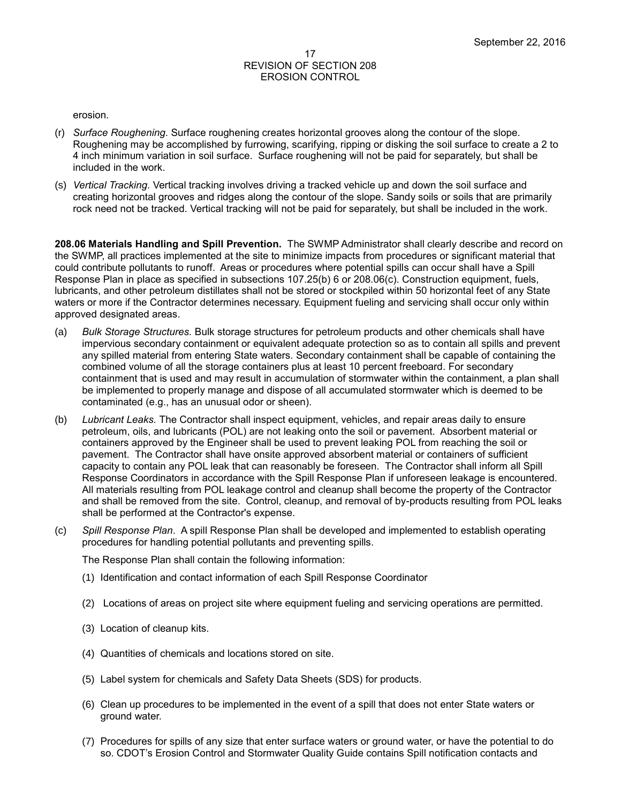#### erosion.

- (r) *Surface Roughening*. Surface roughening creates horizontal grooves along the contour of the slope. Roughening may be accomplished by furrowing, scarifying, ripping or disking the soil surface to create a 2 to 4 inch minimum variation in soil surface. Surface roughening will not be paid for separately, but shall be included in the work.
- (s) *Vertical Tracking*. Vertical tracking involves driving a tracked vehicle up and down the soil surface and creating horizontal grooves and ridges along the contour of the slope. Sandy soils or soils that are primarily rock need not be tracked. Vertical tracking will not be paid for separately, but shall be included in the work.

**208.06 Materials Handling and Spill Prevention.** The SWMP Administrator shall clearly describe and record on the SWMP, all practices implemented at the site to minimize impacts from procedures or significant material that could contribute pollutants to runoff. Areas or procedures where potential spills can occur shall have a Spill Response Plan in place as specified in subsections 107.25(b) 6 or 208.06(c). Construction equipment, fuels, lubricants, and other petroleum distillates shall not be stored or stockpiled within 50 horizontal feet of any State waters or more if the Contractor determines necessary. Equipment fueling and servicing shall occur only within approved designated areas.

- (a) *Bulk Storage Structures.* Bulk storage structures for petroleum products and other chemicals shall have impervious secondary containment or equivalent adequate protection so as to contain all spills and prevent any spilled material from entering State waters. Secondary containment shall be capable of containing the combined volume of all the storage containers plus at least 10 percent freeboard. For secondary containment that is used and may result in accumulation of stormwater within the containment, a plan shall be implemented to properly manage and dispose of all accumulated stormwater which is deemed to be contaminated (e.g., has an unusual odor or sheen).
- (b) *Lubricant Leaks.* The Contractor shall inspect equipment, vehicles, and repair areas daily to ensure petroleum, oils, and lubricants (POL) are not leaking onto the soil or pavement. Absorbent material or containers approved by the Engineer shall be used to prevent leaking POL from reaching the soil or pavement. The Contractor shall have onsite approved absorbent material or containers of sufficient capacity to contain any POL leak that can reasonably be foreseen. The Contractor shall inform all Spill Response Coordinators in accordance with the Spill Response Plan if unforeseen leakage is encountered. All materials resulting from POL leakage control and cleanup shall become the property of the Contractor and shall be removed from the site. Control, cleanup, and removal of by-products resulting from POL leaks shall be performed at the Contractor's expense.
- (c) *Spill Response Plan*. A spill Response Plan shall be developed and implemented to establish operating procedures for handling potential pollutants and preventing spills.

The Response Plan shall contain the following information:

- (1) Identification and contact information of each Spill Response Coordinator
- (2) Locations of areas on project site where equipment fueling and servicing operations are permitted.
- (3) Location of cleanup kits.
- (4) Quantities of chemicals and locations stored on site.
- (5) Label system for chemicals and Safety Data Sheets (SDS) for products.
- (6) Clean up procedures to be implemented in the event of a spill that does not enter State waters or ground water.
- (7) Procedures for spills of any size that enter surface waters or ground water, or have the potential to do so. CDOT's Erosion Control and Stormwater Quality Guide contains Spill notification contacts and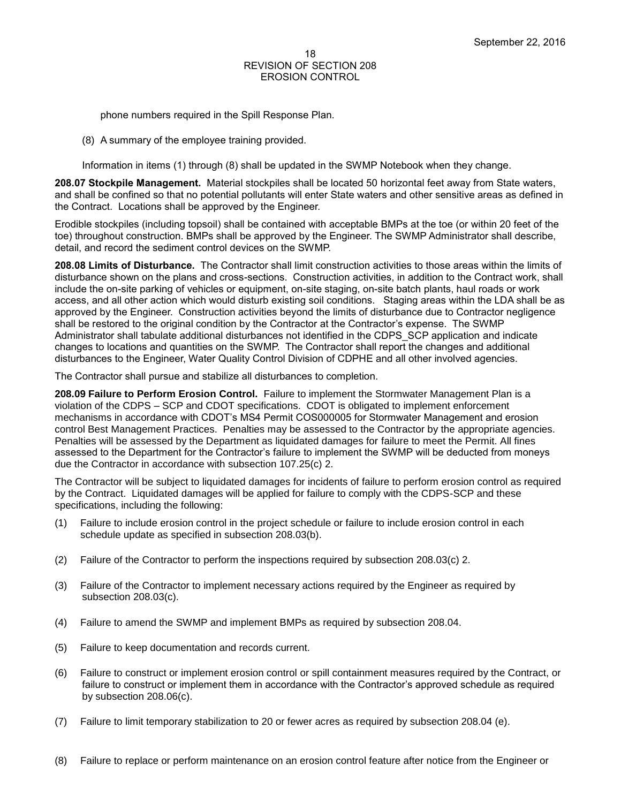phone numbers required in the Spill Response Plan.

(8) A summary of the employee training provided.

Information in items (1) through (8) shall be updated in the SWMP Notebook when they change.

**208.07 Stockpile Management.** Material stockpiles shall be located 50 horizontal feet away from State waters, and shall be confined so that no potential pollutants will enter State waters and other sensitive areas as defined in the Contract. Locations shall be approved by the Engineer.

Erodible stockpiles (including topsoil) shall be contained with acceptable BMPs at the toe (or within 20 feet of the toe) throughout construction. BMPs shall be approved by the Engineer. The SWMP Administrator shall describe, detail, and record the sediment control devices on the SWMP.

**208.08 Limits of Disturbance.** The Contractor shall limit construction activities to those areas within the limits of disturbance shown on the plans and cross-sections. Construction activities, in addition to the Contract work, shall include the on-site parking of vehicles or equipment, on-site staging, on-site batch plants, haul roads or work access, and all other action which would disturb existing soil conditions. Staging areas within the LDA shall be as approved by the Engineer. Construction activities beyond the limits of disturbance due to Contractor negligence shall be restored to the original condition by the Contractor at the Contractor's expense. The SWMP Administrator shall tabulate additional disturbances not identified in the CDPS\_SCP application and indicate changes to locations and quantities on the SWMP. The Contractor shall report the changes and additional disturbances to the Engineer, Water Quality Control Division of CDPHE and all other involved agencies.

The Contractor shall pursue and stabilize all disturbances to completion.

**208.09 Failure to Perform Erosion Control.** Failure to implement the Stormwater Management Plan is a violation of the CDPS – SCP and CDOT specifications. CDOT is obligated to implement enforcement mechanisms in accordance with CDOT's MS4 Permit COS000005 for Stormwater Management and erosion control Best Management Practices. Penalties may be assessed to the Contractor by the appropriate agencies. Penalties will be assessed by the Department as liquidated damages for failure to meet the Permit. All fines assessed to the Department for the Contractor's failure to implement the SWMP will be deducted from moneys due the Contractor in accordance with subsection 107.25(c) 2.

The Contractor will be subject to liquidated damages for incidents of failure to perform erosion control as required by the Contract. Liquidated damages will be applied for failure to comply with the CDPS-SCP and these specifications, including the following:

- (1) Failure to include erosion control in the project schedule or failure to include erosion control in each schedule update as specified in subsection 208.03(b).
- (2) Failure of the Contractor to perform the inspections required by subsection 208.03(c) 2.
- (3) Failure of the Contractor to implement necessary actions required by the Engineer as required by subsection 208.03(c).
- (4) Failure to amend the SWMP and implement BMPs as required by subsection 208.04.
- (5) Failure to keep documentation and records current.
- (6) Failure to construct or implement erosion control or spill containment measures required by the Contract, or failure to construct or implement them in accordance with the Contractor's approved schedule as required by subsection 208.06(c).
- (7) Failure to limit temporary stabilization to 20 or fewer acres as required by subsection 208.04 (e).
- (8) Failure to replace or perform maintenance on an erosion control feature after notice from the Engineer or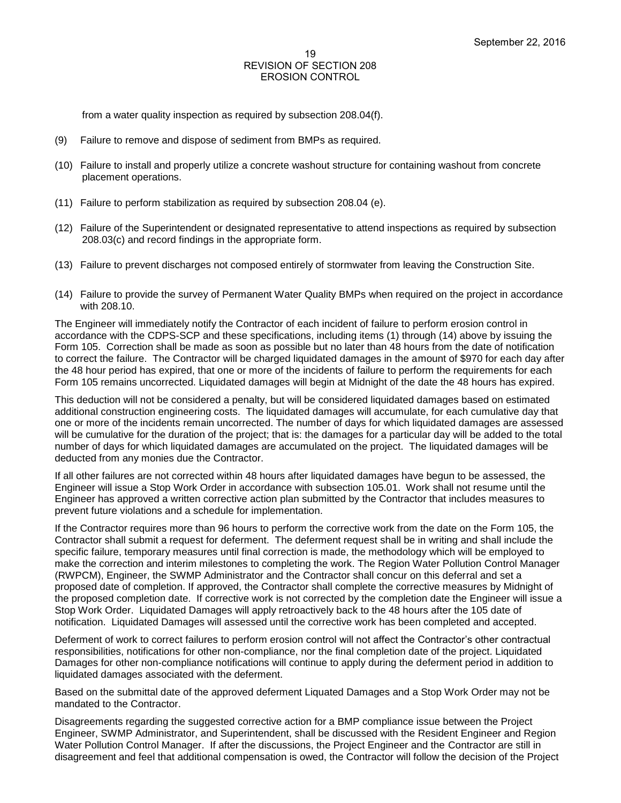from a water quality inspection as required by subsection 208.04(f).

- (9) Failure to remove and dispose of sediment from BMPs as required.
- (10) Failure to install and properly utilize a concrete washout structure for containing washout from concrete placement operations.
- (11) Failure to perform stabilization as required by subsection 208.04 (e).
- (12) Failure of the Superintendent or designated representative to attend inspections as required by subsection 208.03(c) and record findings in the appropriate form.
- (13) Failure to prevent discharges not composed entirely of stormwater from leaving the Construction Site.
- (14) Failure to provide the survey of Permanent Water Quality BMPs when required on the project in accordance with 208.10.

The Engineer will immediately notify the Contractor of each incident of failure to perform erosion control in accordance with the CDPS-SCP and these specifications, including items (1) through (14) above by issuing the Form 105. Correction shall be made as soon as possible but no later than 48 hours from the date of notification to correct the failure. The Contractor will be charged liquidated damages in the amount of \$970 for each day after the 48 hour period has expired, that one or more of the incidents of failure to perform the requirements for each Form 105 remains uncorrected. Liquidated damages will begin at Midnight of the date the 48 hours has expired.

This deduction will not be considered a penalty, but will be considered liquidated damages based on estimated additional construction engineering costs. The liquidated damages will accumulate, for each cumulative day that one or more of the incidents remain uncorrected. The number of days for which liquidated damages are assessed will be cumulative for the duration of the project; that is: the damages for a particular day will be added to the total number of days for which liquidated damages are accumulated on the project. The liquidated damages will be deducted from any monies due the Contractor.

If all other failures are not corrected within 48 hours after liquidated damages have begun to be assessed, the Engineer will issue a Stop Work Order in accordance with subsection 105.01. Work shall not resume until the Engineer has approved a written corrective action plan submitted by the Contractor that includes measures to prevent future violations and a schedule for implementation.

If the Contractor requires more than 96 hours to perform the corrective work from the date on the Form 105, the Contractor shall submit a request for deferment. The deferment request shall be in writing and shall include the specific failure, temporary measures until final correction is made, the methodology which will be employed to make the correction and interim milestones to completing the work. The Region Water Pollution Control Manager (RWPCM), Engineer, the SWMP Administrator and the Contractor shall concur on this deferral and set a proposed date of completion. If approved, the Contractor shall complete the corrective measures by Midnight of the proposed completion date. If corrective work is not corrected by the completion date the Engineer will issue a Stop Work Order. Liquidated Damages will apply retroactively back to the 48 hours after the 105 date of notification. Liquidated Damages will assessed until the corrective work has been completed and accepted.

Deferment of work to correct failures to perform erosion control will not affect the Contractor's other contractual responsibilities, notifications for other non-compliance, nor the final completion date of the project. Liquidated Damages for other non-compliance notifications will continue to apply during the deferment period in addition to liquidated damages associated with the deferment.

Based on the submittal date of the approved deferment Liquated Damages and a Stop Work Order may not be mandated to the Contractor.

Disagreements regarding the suggested corrective action for a BMP compliance issue between the Project Engineer, SWMP Administrator, and Superintendent, shall be discussed with the Resident Engineer and Region Water Pollution Control Manager. If after the discussions, the Project Engineer and the Contractor are still in disagreement and feel that additional compensation is owed, the Contractor will follow the decision of the Project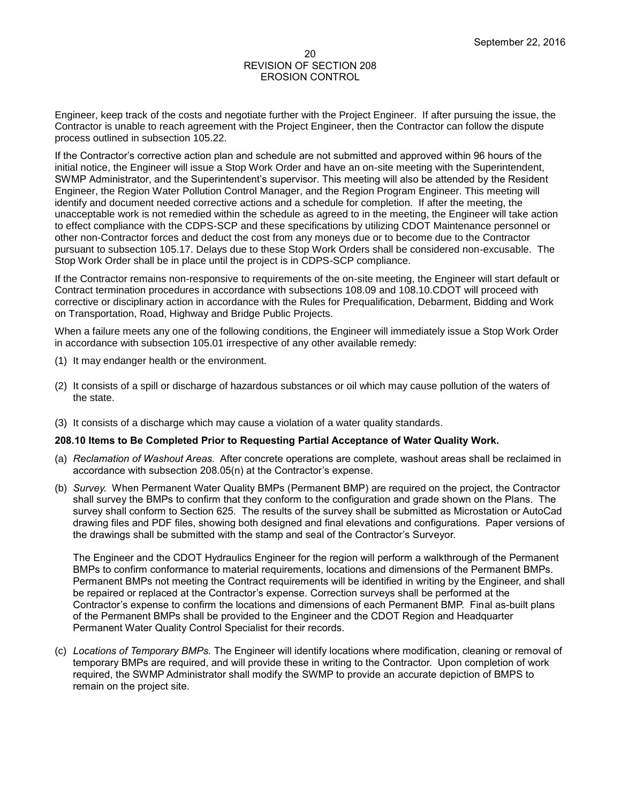Engineer, keep track of the costs and negotiate further with the Project Engineer. If after pursuing the issue, the Contractor is unable to reach agreement with the Project Engineer, then the Contractor can follow the dispute process outlined in subsection 105.22.

If the Contractor's corrective action plan and schedule are not submitted and approved within 96 hours of the initial notice, the Engineer will issue a Stop Work Order and have an on-site meeting with the Superintendent, SWMP Administrator, and the Superintendent's supervisor. This meeting will also be attended by the Resident Engineer, the Region Water Pollution Control Manager, and the Region Program Engineer. This meeting will identify and document needed corrective actions and a schedule for completion. If after the meeting, the unacceptable work is not remedied within the schedule as agreed to in the meeting, the Engineer will take action to effect compliance with the CDPS-SCP and these specifications by utilizing CDOT Maintenance personnel or other non-Contractor forces and deduct the cost from any moneys due or to become due to the Contractor pursuant to subsection 105.17. Delays due to these Stop Work Orders shall be considered non-excusable. The Stop Work Order shall be in place until the project is in CDPS-SCP compliance.

If the Contractor remains non-responsive to requirements of the on-site meeting, the Engineer will start default or Contract termination procedures in accordance with subsections 108.09 and 108.10.CDOT will proceed with corrective or disciplinary action in accordance with the Rules for Prequalification, Debarment, Bidding and Work on Transportation, Road, Highway and Bridge Public Projects.

When a failure meets any one of the following conditions, the Engineer will immediately issue a Stop Work Order in accordance with subsection 105.01 irrespective of any other available remedy:

- (1) It may endanger health or the environment.
- (2) It consists of a spill or discharge of hazardous substances or oil which may cause pollution of the waters of the state.
- (3) It consists of a discharge which may cause a violation of a water quality standards.

#### **208.10 Items to Be Completed Prior to Requesting Partial Acceptance of Water Quality Work.**

- (a) *Reclamation of Washout Areas.* After concrete operations are complete, washout areas shall be reclaimed in accordance with subsection 208.05(n) at the Contractor's expense.
- (b) *Survey.* When Permanent Water Quality BMPs (Permanent BMP) are required on the project, the Contractor shall survey the BMPs to confirm that they conform to the configuration and grade shown on the Plans. The survey shall conform to Section 625. The results of the survey shall be submitted as Microstation or AutoCad drawing files and PDF files, showing both designed and final elevations and configurations. Paper versions of the drawings shall be submitted with the stamp and seal of the Contractor's Surveyor.

The Engineer and the CDOT Hydraulics Engineer for the region will perform a walkthrough of the Permanent BMPs to confirm conformance to material requirements, locations and dimensions of the Permanent BMPs. Permanent BMPs not meeting the Contract requirements will be identified in writing by the Engineer, and shall be repaired or replaced at the Contractor's expense. Correction surveys shall be performed at the Contractor's expense to confirm the locations and dimensions of each Permanent BMP. Final as-built plans of the Permanent BMPs shall be provided to the Engineer and the CDOT Region and Headquarter Permanent Water Quality Control Specialist for their records.

(c) *Locations of Temporary BMPs.* The Engineer will identify locations where modification, cleaning or removal of temporary BMPs are required, and will provide these in writing to the Contractor. Upon completion of work required, the SWMP Administrator shall modify the SWMP to provide an accurate depiction of BMPS to remain on the project site.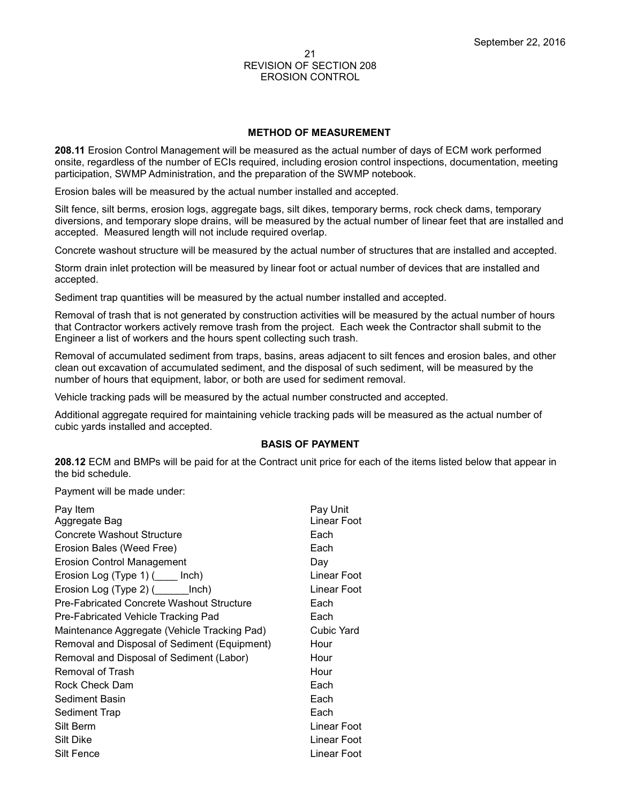#### **METHOD OF MEASUREMENT**

**208.11** Erosion Control Management will be measured as the actual number of days of ECM work performed onsite, regardless of the number of ECIs required, including erosion control inspections, documentation, meeting participation, SWMP Administration, and the preparation of the SWMP notebook.

Erosion bales will be measured by the actual number installed and accepted.

Silt fence, silt berms, erosion logs, aggregate bags, silt dikes, temporary berms, rock check dams, temporary diversions, and temporary slope drains, will be measured by the actual number of linear feet that are installed and accepted. Measured length will not include required overlap.

Concrete washout structure will be measured by the actual number of structures that are installed and accepted.

Storm drain inlet protection will be measured by linear foot or actual number of devices that are installed and accepted.

Sediment trap quantities will be measured by the actual number installed and accepted.

Removal of trash that is not generated by construction activities will be measured by the actual number of hours that Contractor workers actively remove trash from the project. Each week the Contractor shall submit to the Engineer a list of workers and the hours spent collecting such trash.

Removal of accumulated sediment from traps, basins, areas adjacent to silt fences and erosion bales, and other clean out excavation of accumulated sediment, and the disposal of such sediment, will be measured by the number of hours that equipment, labor, or both are used for sediment removal.

Vehicle tracking pads will be measured by the actual number constructed and accepted.

Additional aggregate required for maintaining vehicle tracking pads will be measured as the actual number of cubic yards installed and accepted.

#### **BASIS OF PAYMENT**

**208.12** ECM and BMPs will be paid for at the Contract unit price for each of the items listed below that appear in the bid schedule.

Payment will be made under:

| Pay Item                                     | Pay Unit    |
|----------------------------------------------|-------------|
| Aggregate Bag                                | Linear Foot |
| Concrete Washout Structure                   | Each        |
| Erosion Bales (Weed Free)                    | Each        |
| Erosion Control Management                   | Day         |
| Erosion Log $(Type 1)$ ( $\qquad$ Inch)      | Linear Foot |
| Erosion Log (Type 2) (________ Inch)         | Linear Foot |
| Pre-Fabricated Concrete Washout Structure    | Each        |
| Pre-Fabricated Vehicle Tracking Pad          | Each        |
| Maintenance Aggregate (Vehicle Tracking Pad) | Cubic Yard  |
| Removal and Disposal of Sediment (Equipment) | Hour        |
| Removal and Disposal of Sediment (Labor)     | Hour        |
| Removal of Trash                             | Hour        |
| Rock Check Dam                               | Each        |
| Sediment Basin                               | Each        |
| Sediment Trap                                | Each        |
| Silt Berm                                    | Linear Foot |
| Silt Dike                                    | Linear Foot |
| Silt Fence                                   | Linear Foot |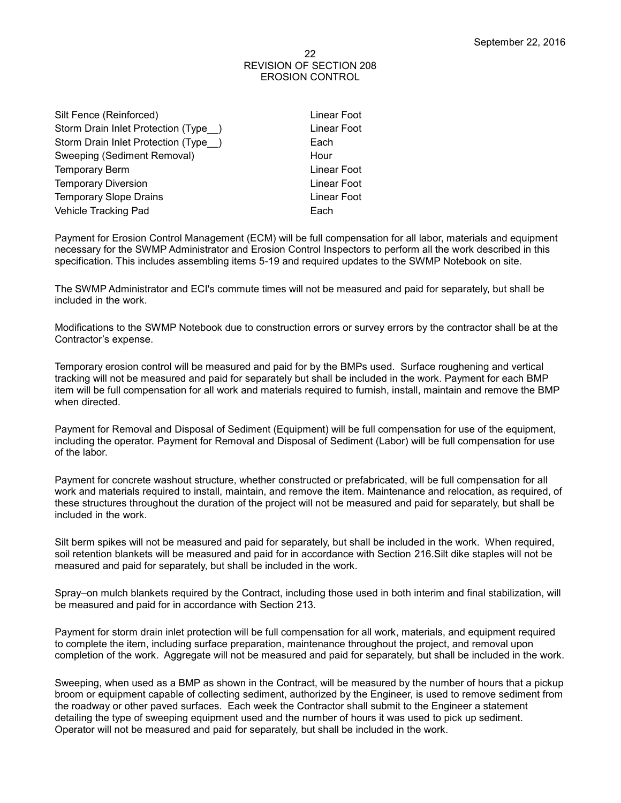Linear Foot Linear Foot

Linear Foot Linear Foot Linear Foot

| Silt Fence (Reinforced)              | Linea |
|--------------------------------------|-------|
| Storm Drain Inlet Protection (Type ) | Linea |
| Storm Drain Inlet Protection (Type ) | Each  |
| Sweeping (Sediment Removal)          | Hour  |
| <b>Temporary Berm</b>                | Linea |
| <b>Temporary Diversion</b>           | Linea |
| <b>Temporary Slope Drains</b>        | Linea |
| Vehicle Tracking Pad                 | Each  |
|                                      |       |

Payment for Erosion Control Management (ECM) will be full compensation for all labor, materials and equipment necessary for the SWMP Administrator and Erosion Control Inspectors to perform all the work described in this specification. This includes assembling items 5-19 and required updates to the SWMP Notebook on site.

The SWMP Administrator and ECI's commute times will not be measured and paid for separately, but shall be included in the work.

Modifications to the SWMP Notebook due to construction errors or survey errors by the contractor shall be at the Contractor's expense.

Temporary erosion control will be measured and paid for by the BMPs used. Surface roughening and vertical tracking will not be measured and paid for separately but shall be included in the work. Payment for each BMP item will be full compensation for all work and materials required to furnish, install, maintain and remove the BMP when directed.

Payment for Removal and Disposal of Sediment (Equipment) will be full compensation for use of the equipment, including the operator. Payment for Removal and Disposal of Sediment (Labor) will be full compensation for use of the labor.

Payment for concrete washout structure, whether constructed or prefabricated, will be full compensation for all work and materials required to install, maintain, and remove the item. Maintenance and relocation, as required, of these structures throughout the duration of the project will not be measured and paid for separately, but shall be included in the work.

Silt berm spikes will not be measured and paid for separately, but shall be included in the work. When required, soil retention blankets will be measured and paid for in accordance with Section 216.Silt dike staples will not be measured and paid for separately, but shall be included in the work.

Spray–on mulch blankets required by the Contract, including those used in both interim and final stabilization, will be measured and paid for in accordance with Section 213.

Payment for storm drain inlet protection will be full compensation for all work, materials, and equipment required to complete the item, including surface preparation, maintenance throughout the project, and removal upon completion of the work. Aggregate will not be measured and paid for separately, but shall be included in the work.

Sweeping, when used as a BMP as shown in the Contract, will be measured by the number of hours that a pickup broom or equipment capable of collecting sediment, authorized by the Engineer, is used to remove sediment from the roadway or other paved surfaces. Each week the Contractor shall submit to the Engineer a statement detailing the type of sweeping equipment used and the number of hours it was used to pick up sediment. Operator will not be measured and paid for separately, but shall be included in the work.